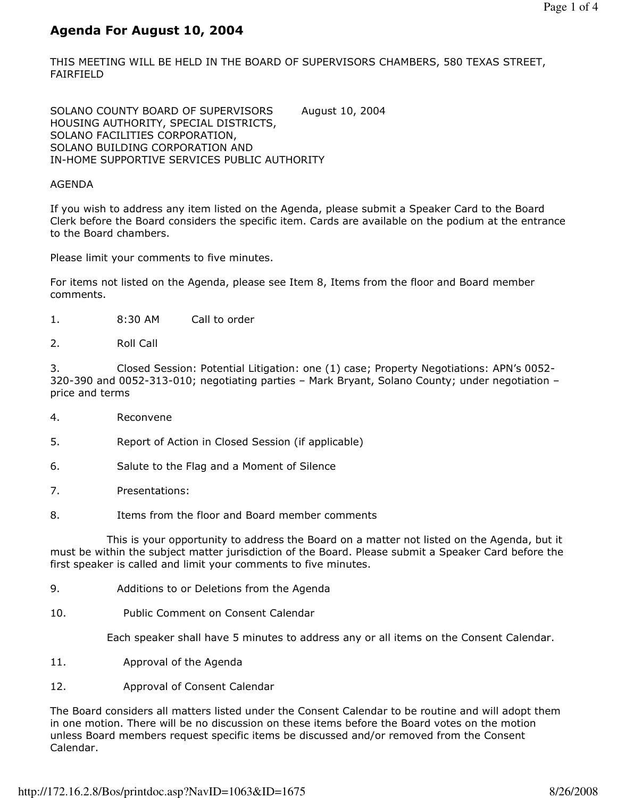## Agenda For August 10, 2004

THIS MEETING WILL BE HELD IN THE BOARD OF SUPERVISORS CHAMBERS, 580 TEXAS STREET, FAIRFIELD

SOLANO COUNTY BOARD OF SUPERVISORS August 10, 2004 HOUSING AUTHORITY, SPECIAL DISTRICTS, SOLANO FACILITIES CORPORATION, SOLANO BUILDING CORPORATION AND IN-HOME SUPPORTIVE SERVICES PUBLIC AUTHORITY

#### AGENDA

If you wish to address any item listed on the Agenda, please submit a Speaker Card to the Board Clerk before the Board considers the specific item. Cards are available on the podium at the entrance to the Board chambers.

Please limit your comments to five minutes.

For items not listed on the Agenda, please see Item 8, Items from the floor and Board member comments.

- 1. 8:30 AM Call to order
- 2. Roll Call

3. Closed Session: Potential Litigation: one (1) case; Property Negotiations: APN's 0052- 320-390 and 0052-313-010; negotiating parties – Mark Bryant, Solano County; under negotiation – price and terms

- 4. Reconvene
- 5. Report of Action in Closed Session (if applicable)
- 6. Salute to the Flag and a Moment of Silence
- 7. Presentations:
- 8. Items from the floor and Board member comments

 This is your opportunity to address the Board on a matter not listed on the Agenda, but it must be within the subject matter jurisdiction of the Board. Please submit a Speaker Card before the first speaker is called and limit your comments to five minutes.

- 9. Additions to or Deletions from the Agenda
- 10. Public Comment on Consent Calendar

Each speaker shall have 5 minutes to address any or all items on the Consent Calendar.

- 11. Approval of the Agenda
- 12. Approval of Consent Calendar

The Board considers all matters listed under the Consent Calendar to be routine and will adopt them in one motion. There will be no discussion on these items before the Board votes on the motion unless Board members request specific items be discussed and/or removed from the Consent Calendar.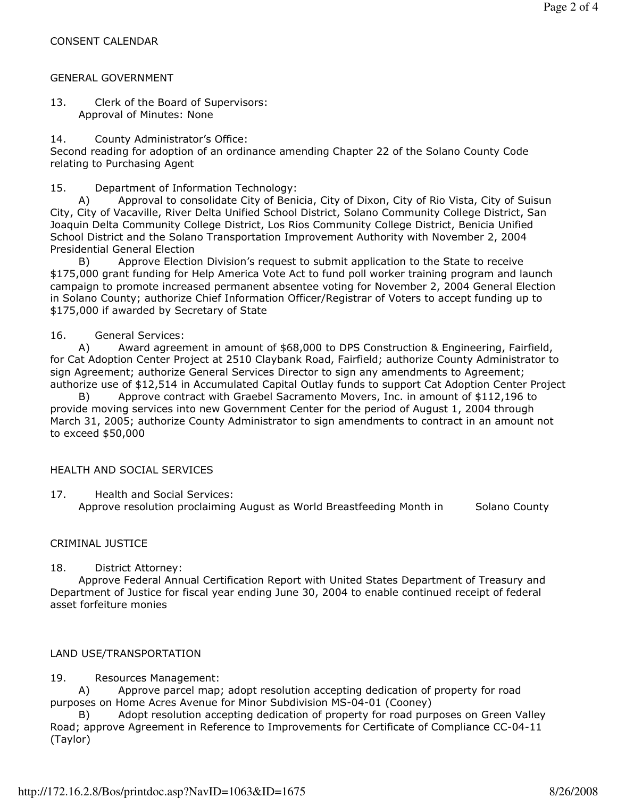#### GENERAL GOVERNMENT

13. Clerk of the Board of Supervisors: Approval of Minutes: None

14. County Administrator's Office:

Second reading for adoption of an ordinance amending Chapter 22 of the Solano County Code relating to Purchasing Agent

15. Department of Information Technology:

 A) Approval to consolidate City of Benicia, City of Dixon, City of Rio Vista, City of Suisun City, City of Vacaville, River Delta Unified School District, Solano Community College District, San Joaquin Delta Community College District, Los Rios Community College District, Benicia Unified School District and the Solano Transportation Improvement Authority with November 2, 2004 Presidential General Election

 B) Approve Election Division's request to submit application to the State to receive \$175,000 grant funding for Help America Vote Act to fund poll worker training program and launch campaign to promote increased permanent absentee voting for November 2, 2004 General Election in Solano County; authorize Chief Information Officer/Registrar of Voters to accept funding up to \$175,000 if awarded by Secretary of State

#### 16. General Services:

 A) Award agreement in amount of \$68,000 to DPS Construction & Engineering, Fairfield, for Cat Adoption Center Project at 2510 Claybank Road, Fairfield; authorize County Administrator to sign Agreement; authorize General Services Director to sign any amendments to Agreement; authorize use of \$12,514 in Accumulated Capital Outlay funds to support Cat Adoption Center Project

 B) Approve contract with Graebel Sacramento Movers, Inc. in amount of \$112,196 to provide moving services into new Government Center for the period of August 1, 2004 through March 31, 2005; authorize County Administrator to sign amendments to contract in an amount not to exceed \$50,000

#### HEALTH AND SOCIAL SERVICES

17. Health and Social Services: Approve resolution proclaiming August as World Breastfeeding Month in Solano County

## CRIMINAL JUSTICE

18. District Attorney:

 Approve Federal Annual Certification Report with United States Department of Treasury and Department of Justice for fiscal year ending June 30, 2004 to enable continued receipt of federal asset forfeiture monies

## LAND USE/TRANSPORTATION

#### 19. Resources Management:

 A) Approve parcel map; adopt resolution accepting dedication of property for road purposes on Home Acres Avenue for Minor Subdivision MS-04-01 (Cooney)

 B) Adopt resolution accepting dedication of property for road purposes on Green Valley Road; approve Agreement in Reference to Improvements for Certificate of Compliance CC-04-11 (Taylor)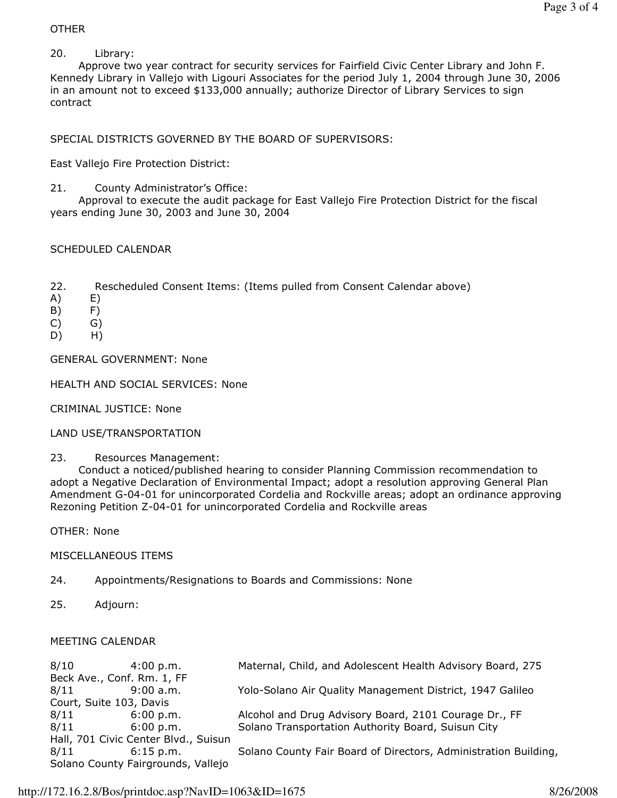## OTHER

## 20. Library:

 Approve two year contract for security services for Fairfield Civic Center Library and John F. Kennedy Library in Vallejo with Ligouri Associates for the period July 1, 2004 through June 30, 2006 in an amount not to exceed \$133,000 annually; authorize Director of Library Services to sign contract

SPECIAL DISTRICTS GOVERNED BY THE BOARD OF SUPERVISORS:

East Vallejo Fire Protection District:

21. County Administrator's Office:

 Approval to execute the audit package for East Vallejo Fire Protection District for the fiscal years ending June 30, 2003 and June 30, 2004

# SCHEDULED CALENDAR

- 22. Rescheduled Consent Items: (Items pulled from Consent Calendar above)
- A) E)
- B) F)
- $(C)$   $G)$
- D) H)

GENERAL GOVERNMENT: None

## HEALTH AND SOCIAL SERVICES: None

CRIMINAL JUSTICE: None

LAND USE/TRANSPORTATION

23. Resources Management:

 Conduct a noticed/published hearing to consider Planning Commission recommendation to adopt a Negative Declaration of Environmental Impact; adopt a resolution approving General Plan Amendment G-04-01 for unincorporated Cordelia and Rockville areas; adopt an ordinance approving Rezoning Petition Z-04-01 for unincorporated Cordelia and Rockville areas

OTHER: None

## MISCELLANEOUS ITEMS

- 24. Appointments/Resignations to Boards and Commissions: None
- 25. Adjourn:

#### MEETING CALENDAR

| Yolo-Solano Air Quality Management District, 1947 Galileo       |  |
|-----------------------------------------------------------------|--|
|                                                                 |  |
|                                                                 |  |
|                                                                 |  |
|                                                                 |  |
| Solano County Fair Board of Directors, Administration Building, |  |
|                                                                 |  |
|                                                                 |  |